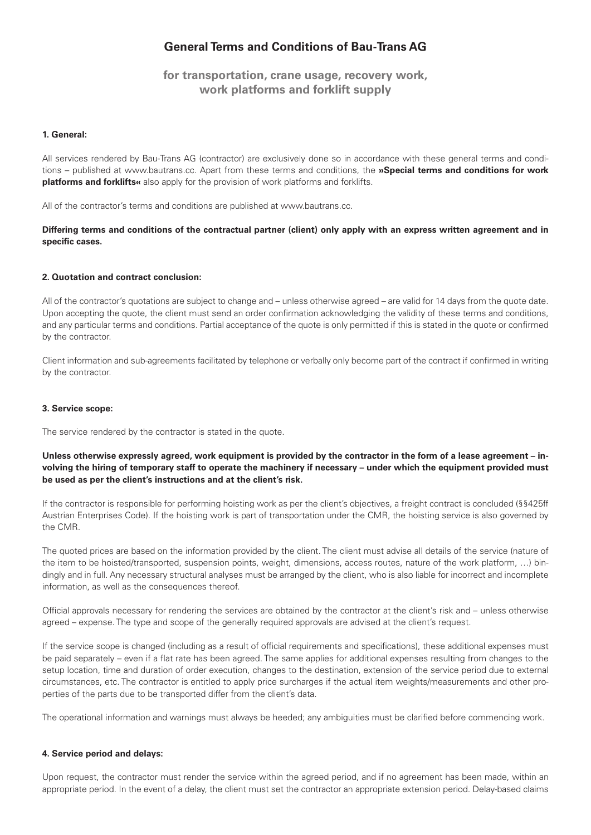# **General Terms and Conditions of Bau-Trans AG**

**for transportation, crane usage, recovery work, work platforms and forklift supply**

## **1. General:**

All services rendered by Bau-Trans AG (contractor) are exclusively done so in accordance with these general terms and conditions – published at www.bautrans.cc. Apart from these terms and conditions, the **»Special terms and conditions for work platforms and forklifts«** also apply for the provision of work platforms and forklifts.

All of the contractor's terms and conditions are published at www.bautrans.cc.

**Differing terms and conditions of the contractual partner (client) only apply with an express written agreement and in specific cases.**

# **2. Quotation and contract conclusion:**

All of the contractor's quotations are subject to change and – unless otherwise agreed – are valid for 14 days from the quote date. Upon accepting the quote, the client must send an order confirmation acknowledging the validity of these terms and conditions, and any particular terms and conditions. Partial acceptance of the quote is only permitted if this is stated in the quote or confirmed by the contractor.

Client information and sub-agreements facilitated by telephone or verbally only become part of the contract if confirmed in writing by the contractor.

### **3. Service scope:**

The service rendered by the contractor is stated in the quote.

**Unless otherwise expressly agreed, work equipment is provided by the contractor in the form of a lease agreement – involving the hiring of temporary staff to operate the machinery if necessary – under which the equipment provided must be used as per the client's instructions and at the client's risk.**

If the contractor is responsible for performing hoisting work as per the client's objectives, a freight contract is concluded (§§425ff Austrian Enterprises Code). If the hoisting work is part of transportation under the CMR, the hoisting service is also governed by the CMR.

The quoted prices are based on the information provided by the client. The client must advise all details of the service (nature of the item to be hoisted/transported, suspension points, weight, dimensions, access routes, nature of the work platform, …) bindingly and in full. Any necessary structural analyses must be arranged by the client, who is also liable for incorrect and incomplete information, as well as the consequences thereof.

Official approvals necessary for rendering the services are obtained by the contractor at the client's risk and – unless otherwise agreed – expense. The type and scope of the generally required approvals are advised at the client's request.

If the service scope is changed (including as a result of official requirements and specifications), these additional expenses must be paid separately – even if a flat rate has been agreed. The same applies for additional expenses resulting from changes to the setup location, time and duration of order execution, changes to the destination, extension of the service period due to external circumstances, etc. The contractor is entitled to apply price surcharges if the actual item weights/measurements and other properties of the parts due to be transported differ from the client's data.

The operational information and warnings must always be heeded; any ambiguities must be clarified before commencing work.

### **4. Service period and delays:**

Upon request, the contractor must render the service within the agreed period, and if no agreement has been made, within an appropriate period. In the event of a delay, the client must set the contractor an appropriate extension period. Delay-based claims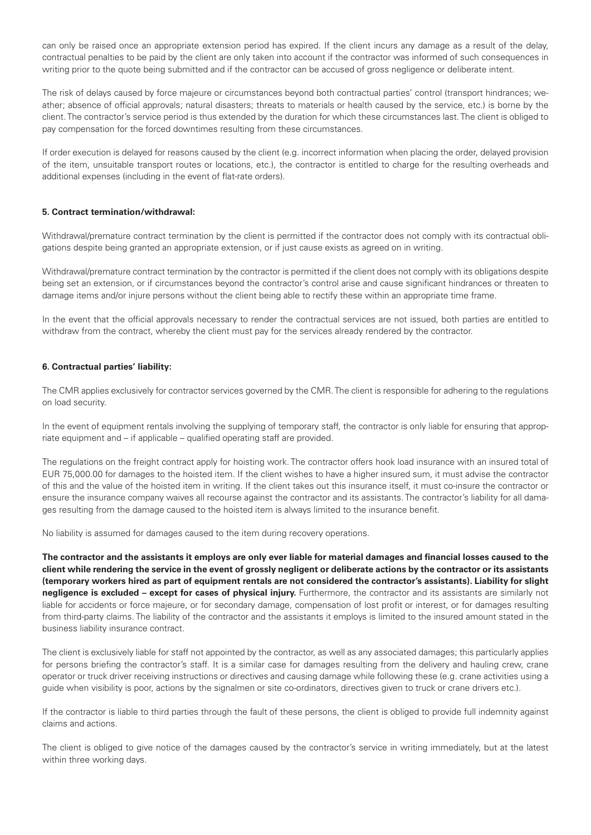can only be raised once an appropriate extension period has expired. If the client incurs any damage as a result of the delay, contractual penalties to be paid by the client are only taken into account if the contractor was informed of such consequences in writing prior to the quote being submitted and if the contractor can be accused of gross negligence or deliberate intent.

The risk of delays caused by force majeure or circumstances beyond both contractual parties' control (transport hindrances; weather; absence of official approvals; natural disasters; threats to materials or health caused by the service, etc.) is borne by the client. The contractor's service period is thus extended by the duration for which these circumstances last. The client is obliged to pay compensation for the forced downtimes resulting from these circumstances.

If order execution is delayed for reasons caused by the client (e.g. incorrect information when placing the order, delayed provision of the item, unsuitable transport routes or locations, etc.), the contractor is entitled to charge for the resulting overheads and additional expenses (including in the event of flat-rate orders).

## **5. Contract termination/withdrawal:**

Withdrawal/premature contract termination by the client is permitted if the contractor does not comply with its contractual obligations despite being granted an appropriate extension, or if just cause exists as agreed on in writing.

Withdrawal/premature contract termination by the contractor is permitted if the client does not comply with its obligations despite being set an extension, or if circumstances beyond the contractor's control arise and cause significant hindrances or threaten to damage items and/or injure persons without the client being able to rectify these within an appropriate time frame.

In the event that the official approvals necessary to render the contractual services are not issued, both parties are entitled to withdraw from the contract, whereby the client must pay for the services already rendered by the contractor.

### **6. Contractual parties' liability:**

The CMR applies exclusively for contractor services governed by the CMR. The client is responsible for adhering to the regulations on load security.

In the event of equipment rentals involving the supplying of temporary staff, the contractor is only liable for ensuring that appropriate equipment and – if applicable – qualified operating staff are provided.

The regulations on the freight contract apply for hoisting work. The contractor offers hook load insurance with an insured total of EUR 75,000.00 for damages to the hoisted item. If the client wishes to have a higher insured sum, it must advise the contractor of this and the value of the hoisted item in writing. If the client takes out this insurance itself, it must co-insure the contractor or ensure the insurance company waives all recourse against the contractor and its assistants. The contractor's liability for all damages resulting from the damage caused to the hoisted item is always limited to the insurance benefit.

No liability is assumed for damages caused to the item during recovery operations.

**The contractor and the assistants it employs are only ever liable for material damages and financial losses caused to the client while rendering the service in the event of grossly negligent or deliberate actions by the contractor or its assistants (temporary workers hired as part of equipment rentals are not considered the contractor's assistants). Liability for slight negligence is excluded – except for cases of physical injury.** Furthermore, the contractor and its assistants are similarly not liable for accidents or force majeure, or for secondary damage, compensation of lost profit or interest, or for damages resulting from third-party claims. The liability of the contractor and the assistants it employs is limited to the insured amount stated in the business liability insurance contract.

The client is exclusively liable for staff not appointed by the contractor, as well as any associated damages; this particularly applies for persons briefing the contractor's staff. It is a similar case for damages resulting from the delivery and hauling crew, crane operator or truck driver receiving instructions or directives and causing damage while following these (e.g. crane activities using a guide when visibility is poor, actions by the signalmen or site co-ordinators, directives given to truck or crane drivers etc.).

If the contractor is liable to third parties through the fault of these persons, the client is obliged to provide full indemnity against claims and actions.

The client is obliged to give notice of the damages caused by the contractor's service in writing immediately, but at the latest within three working days.